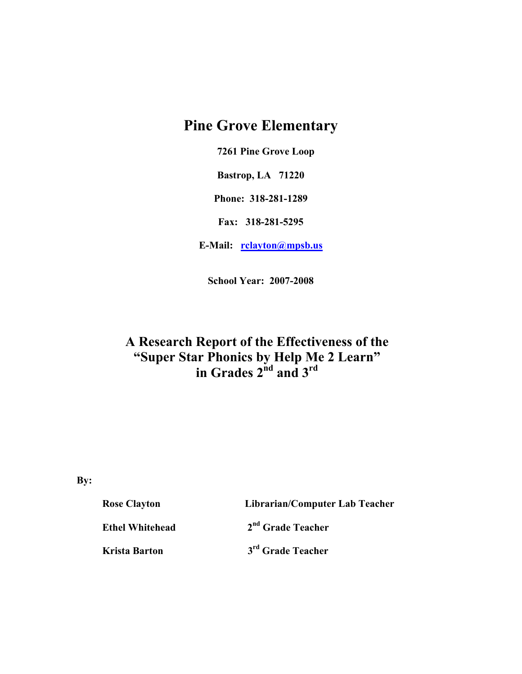# **Pine Grove Elementary**

 **7261 Pine Grove Loop** 

**Bastrop, LA 71220** 

**Phone: 318-281-1289** 

**Fax: 318-281-5295** 

**E-Mail: rclayton@mpsb.us**

**School Year: 2007-2008** 

# **A Research Report of the Effectiveness of the "Super Star Phonics by Help Me 2 Learn" in Grades 2nd and 3rd**

**By:** 

| <b>Rose Clayton</b>    | Librarian/Computer Lab Teacher |  |  |
|------------------------|--------------------------------|--|--|
| <b>Ethel Whitehead</b> | 2 <sup>nd</sup> Grade Teacher  |  |  |
| Krista Barton          | 3 <sup>rd</sup> Grade Teacher  |  |  |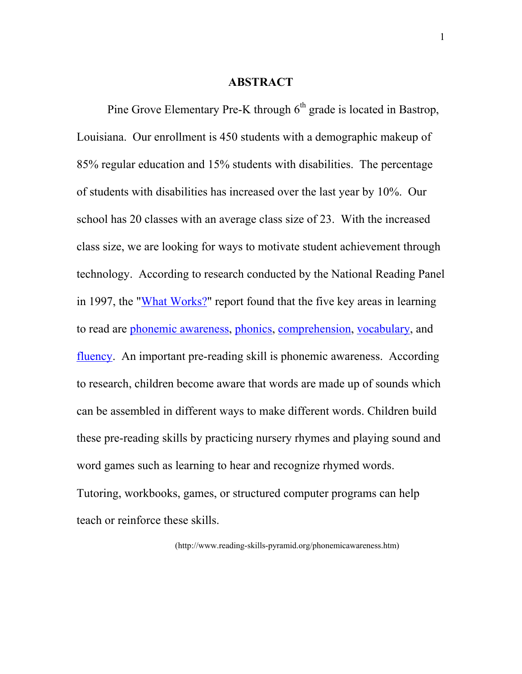#### **ABSTRACT**

Pine Grove Elementary Pre-K through  $6<sup>th</sup>$  grade is located in Bastrop, Louisiana. Our enrollment is 450 students with a demographic makeup of 85% regular education and 15% students with disabilities. The percentage of students with disabilities has increased over the last year by 10%. Our school has 20 classes with an average class size of 23. With the increased class size, we are looking for ways to motivate student achievement through technology. According to research conducted by the National Reading Panel in 1997, the "What Works?" report found that the five key areas in learning to read are phonemic awareness, phonics, comprehension, vocabulary, and fluency. An important pre-reading skill is phonemic awareness. According to research, children become aware that words are made up of sounds which can be assembled in different ways to make different words. Children build these pre-reading skills by practicing nursery rhymes and playing sound and word games such as learning to hear and recognize rhymed words. Tutoring, workbooks, games, or structured computer programs can help teach or reinforce these skills.

(http://www.reading-skills-pyramid.org/phonemicawareness.htm)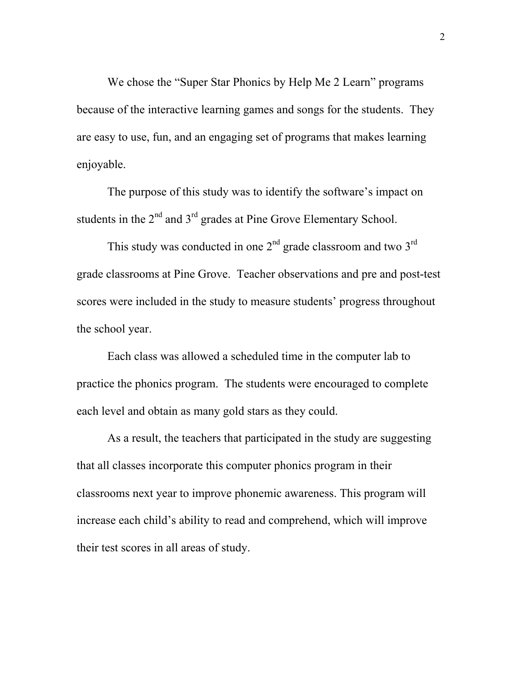We chose the "Super Star Phonics by Help Me 2 Learn" programs because of the interactive learning games and songs for the students. They are easy to use, fun, and an engaging set of programs that makes learning enjoyable.

The purpose of this study was to identify the software's impact on students in the  $2<sup>nd</sup>$  and  $3<sup>rd</sup>$  grades at Pine Grove Elementary School.

This study was conducted in one  $2<sup>nd</sup>$  grade classroom and two  $3<sup>rd</sup>$ grade classrooms at Pine Grove. Teacher observations and pre and post-test scores were included in the study to measure students' progress throughout the school year.

Each class was allowed a scheduled time in the computer lab to practice the phonics program. The students were encouraged to complete each level and obtain as many gold stars as they could.

As a result, the teachers that participated in the study are suggesting that all classes incorporate this computer phonics program in their classrooms next year to improve phonemic awareness. This program will increase each child's ability to read and comprehend, which will improve their test scores in all areas of study.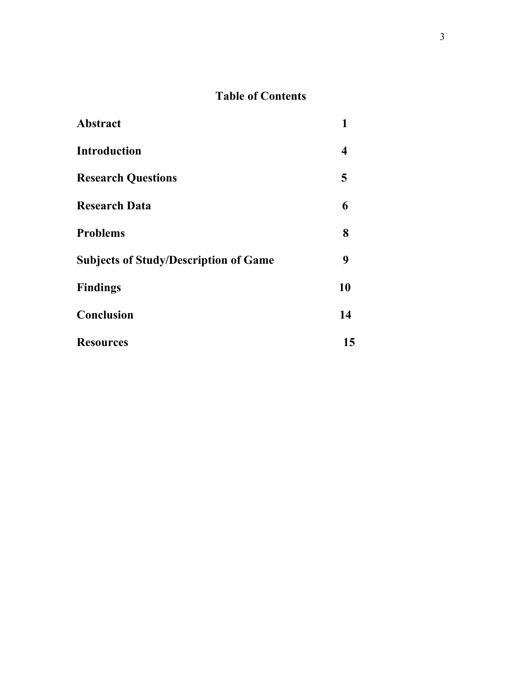## **Table of Contents**

| <b>Abstract</b>                              | 1  |
|----------------------------------------------|----|
| <b>Introduction</b>                          | 4  |
| <b>Research Questions</b>                    | 5  |
| <b>Research Data</b>                         | 6  |
| <b>Problems</b>                              | 8  |
| <b>Subjects of Study/Description of Game</b> | 9  |
| <b>Findings</b>                              | 10 |
| Conclusion                                   | 14 |
| <b>Resources</b>                             | 15 |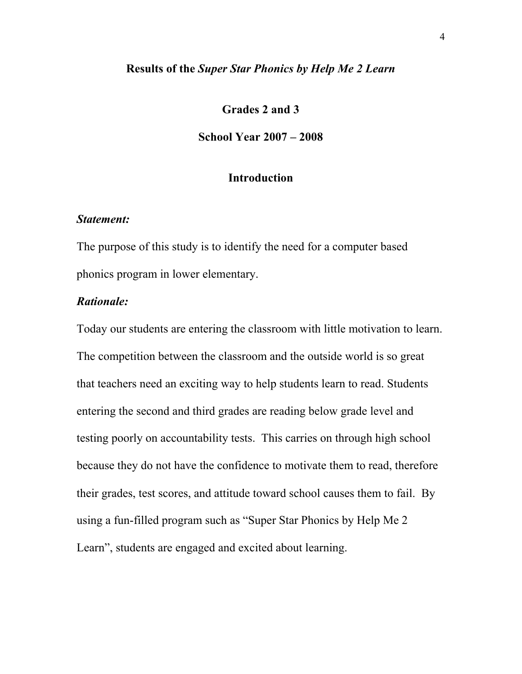#### **Results of the** *Super Star Phonics by Help Me 2 Learn*

## **Grades 2 and 3**

#### **School Year 2007 – 2008**

#### **Introduction**

#### *Statement:*

The purpose of this study is to identify the need for a computer based phonics program in lower elementary.

#### *Rationale:*

Today our students are entering the classroom with little motivation to learn. The competition between the classroom and the outside world is so great that teachers need an exciting way to help students learn to read. Students entering the second and third grades are reading below grade level and testing poorly on accountability tests. This carries on through high school because they do not have the confidence to motivate them to read, therefore their grades, test scores, and attitude toward school causes them to fail. By using a fun-filled program such as "Super Star Phonics by Help Me 2 Learn", students are engaged and excited about learning.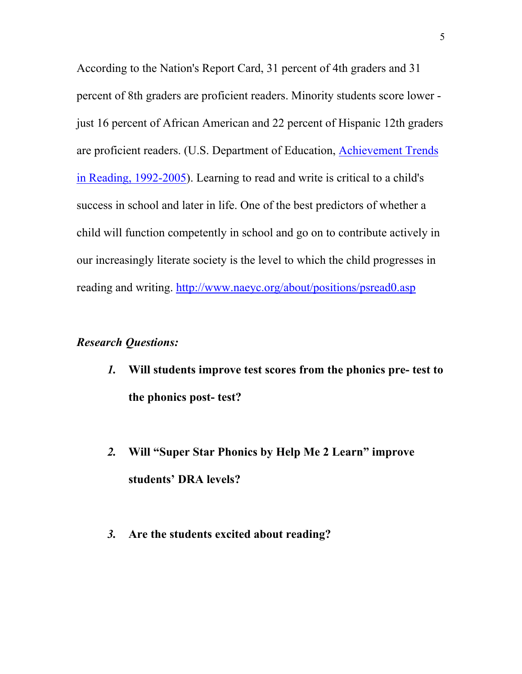According to the Nation's Report Card, 31 percent of 4th graders and 31 percent of 8th graders are proficient readers. Minority students score lower just 16 percent of African American and 22 percent of Hispanic 12th graders are proficient readers. (U.S. Department of Education, Achievement Trends in Reading, 1992-2005). Learning to read and write is critical to a child's success in school and later in life. One of the best predictors of whether a child will function competently in school and go on to contribute actively in our increasingly literate society is the level to which the child progresses in reading and writing. http://www.naeyc.org/about/positions/psread0.asp

## *Research Questions:*

- *1.* **Will students improve test scores from the phonics pre- test to the phonics post- test?**
- *2.* **Will "Super Star Phonics by Help Me 2 Learn" improve students' DRA levels?**
- *3.* **Are the students excited about reading?**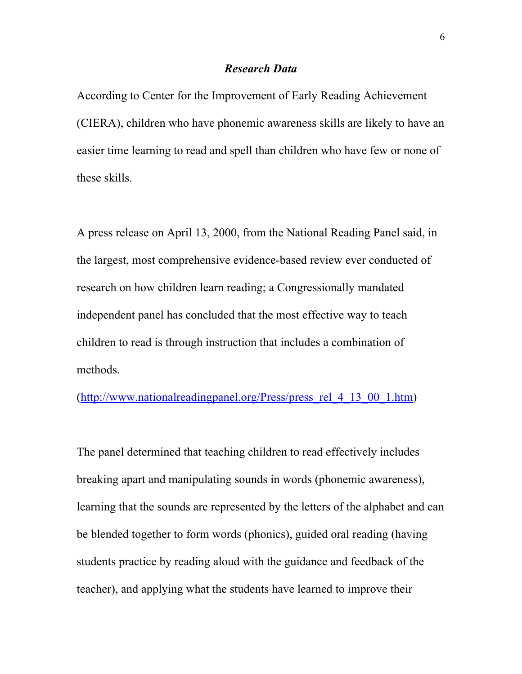#### *Research Data*

According to Center for the Improvement of Early Reading Achievement (CIERA), children who have phonemic awareness skills are likely to have an easier time learning to read and spell than children who have few or none of these skills.

A press release on April 13, 2000, from the National Reading Panel said, in the largest, most comprehensive evidence-based review ever conducted of research on how children learn reading; a Congressionally mandated independent panel has concluded that the most effective way to teach children to read is through instruction that includes a combination of methods.

(http://www.nationalreadingpanel.org/Press/press\_rel\_4\_13\_00\_1.htm)

The panel determined that teaching children to read effectively includes breaking apart and manipulating sounds in words (phonemic awareness), learning that the sounds are represented by the letters of the alphabet and can be blended together to form words (phonics), guided oral reading (having students practice by reading aloud with the guidance and feedback of the teacher), and applying what the students have learned to improve their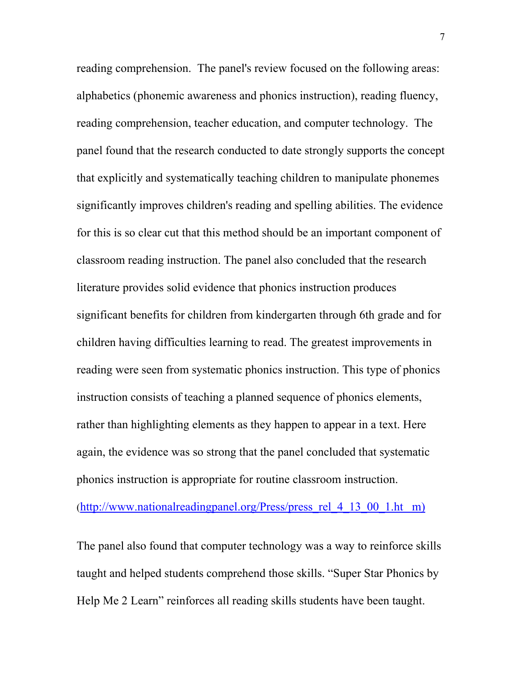reading comprehension. The panel's review focused on the following areas: alphabetics (phonemic awareness and phonics instruction), reading fluency, reading comprehension, teacher education, and computer technology. The panel found that the research conducted to date strongly supports the concept that explicitly and systematically teaching children to manipulate phonemes significantly improves children's reading and spelling abilities. The evidence for this is so clear cut that this method should be an important component of classroom reading instruction. The panel also concluded that the research literature provides solid evidence that phonics instruction produces significant benefits for children from kindergarten through 6th grade and for children having difficulties learning to read. The greatest improvements in reading were seen from systematic phonics instruction. This type of phonics instruction consists of teaching a planned sequence of phonics elements, rather than highlighting elements as they happen to appear in a text. Here again, the evidence was so strong that the panel concluded that systematic phonics instruction is appropriate for routine classroom instruction.

 $(\text{http://www.nationalreadingpanel.org/Press/press}$  rel 4 13 00 1.ht m)

The panel also found that computer technology was a way to reinforce skills taught and helped students comprehend those skills. "Super Star Phonics by Help Me 2 Learn" reinforces all reading skills students have been taught.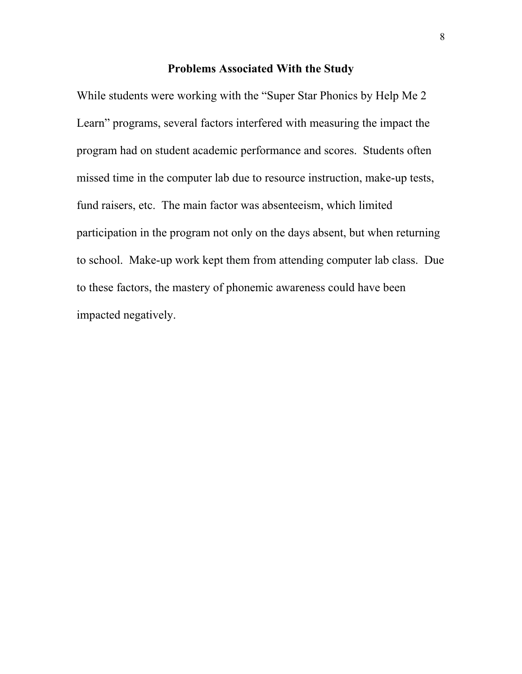#### **Problems Associated With the Study**

While students were working with the "Super Star Phonics by Help Me 2 Learn" programs, several factors interfered with measuring the impact the program had on student academic performance and scores. Students often missed time in the computer lab due to resource instruction, make-up tests, fund raisers, etc. The main factor was absenteeism, which limited participation in the program not only on the days absent, but when returning to school. Make-up work kept them from attending computer lab class. Due to these factors, the mastery of phonemic awareness could have been impacted negatively.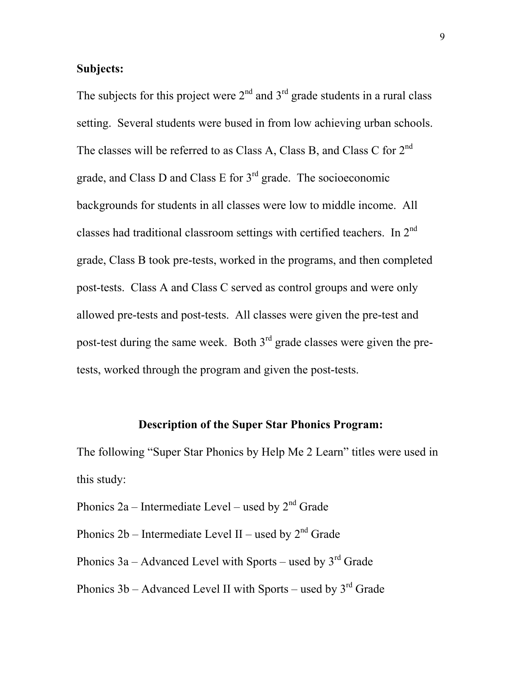## **Subjects:**

The subjects for this project were  $2<sup>nd</sup>$  and  $3<sup>rd</sup>$  grade students in a rural class setting. Several students were bused in from low achieving urban schools. The classes will be referred to as Class A, Class B, and Class C for 2<sup>nd</sup> grade, and Class D and Class E for 3rd grade. The socioeconomic backgrounds for students in all classes were low to middle income. All classes had traditional classroom settings with certified teachers. In  $2^{nd}$ grade, Class B took pre-tests, worked in the programs, and then completed post-tests. Class A and Class C served as control groups and were only allowed pre-tests and post-tests. All classes were given the pre-test and post-test during the same week. Both  $3<sup>rd</sup>$  grade classes were given the pretests, worked through the program and given the post-tests.

## **Description of the Super Star Phonics Program:**

The following "Super Star Phonics by Help Me 2 Learn" titles were used in this study:

Phonics 2a – Intermediate Level – used by  $2<sup>nd</sup>$  Grade

Phonics  $2b$  – Intermediate Level II – used by  $2<sup>nd</sup>$  Grade

Phonics  $3a -$  Advanced Level with Sports – used by  $3<sup>rd</sup>$  Grade

Phonics  $3b$  – Advanced Level II with Sports – used by  $3^{rd}$  Grade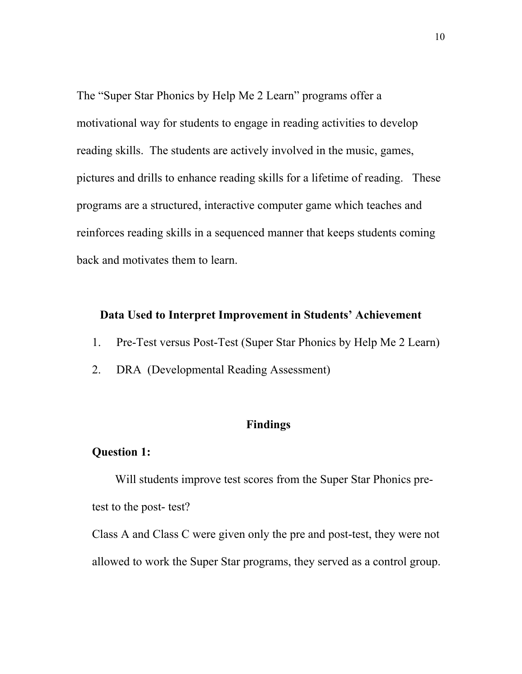The "Super Star Phonics by Help Me 2 Learn" programs offer a motivational way for students to engage in reading activities to develop reading skills. The students are actively involved in the music, games, pictures and drills to enhance reading skills for a lifetime of reading. These programs are a structured, interactive computer game which teaches and reinforces reading skills in a sequenced manner that keeps students coming back and motivates them to learn.

### **Data Used to Interpret Improvement in Students' Achievement**

- 1. Pre-Test versus Post-Test (Super Star Phonics by Help Me 2 Learn)
- 2. DRA (Developmental Reading Assessment)

## **Findings**

### **Question 1:**

Will students improve test scores from the Super Star Phonics pretest to the post- test?

Class A and Class C were given only the pre and post-test, they were not allowed to work the Super Star programs, they served as a control group.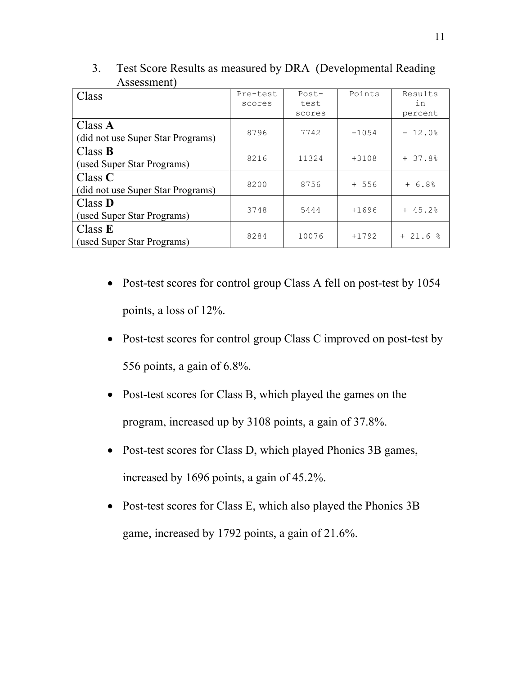| Class                             | Pre-test | $Post-$ | Points  | Results  |
|-----------------------------------|----------|---------|---------|----------|
|                                   | scores   | test    |         | in       |
|                                   |          | scores  |         | percent  |
| Class $\bf{A}$                    | 8796     | 7742    | $-1054$ | $-12.0%$ |
| (did not use Super Star Programs) |          |         |         |          |
| Class $\bf{B}$                    | 8216     | 11324   | $+3108$ | $+37.8%$ |
| (used Super Star Programs)        |          |         |         |          |
| Class $C$                         | 8200     | 8756    | $+ 556$ | $+ 6.8%$ |
| (did not use Super Star Programs) |          |         |         |          |
| Class <b>D</b>                    | 3748     | 5444    | $+1696$ | $+45.2%$ |
| (used Super Star Programs)        |          |         |         |          |
| Class $E$                         | 8284     | 10076   | $+1792$ | $+21.6%$ |
| (used Super Star Programs)        |          |         |         |          |

3. Test Score Results as measured by DRA (Developmental Reading Assessment)

- Post-test scores for control group Class A fell on post-test by 1054 points, a loss of 12%.
- Post-test scores for control group Class C improved on post-test by 556 points, a gain of 6.8%.
- Post-test scores for Class B, which played the games on the program, increased up by 3108 points, a gain of 37.8%.
- Post-test scores for Class D, which played Phonics 3B games, increased by 1696 points, a gain of 45.2%.
- Post-test scores for Class E, which also played the Phonics 3B game, increased by 1792 points, a gain of 21.6%.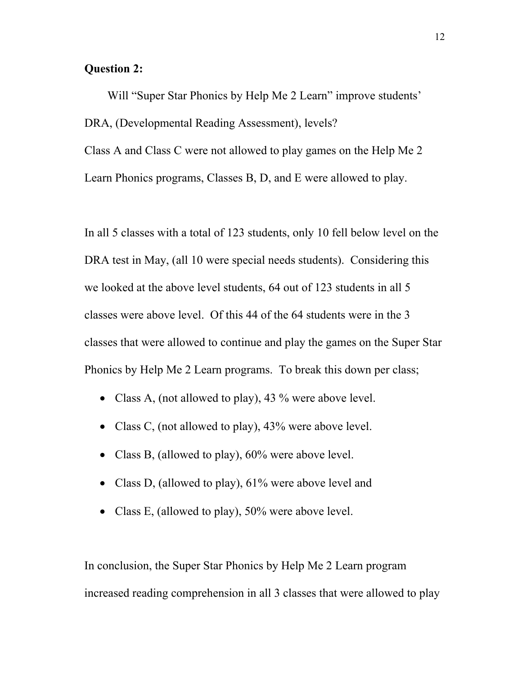## **Question 2:**

Will "Super Star Phonics by Help Me 2 Learn" improve students' DRA, (Developmental Reading Assessment), levels? Class A and Class C were not allowed to play games on the Help Me 2 Learn Phonics programs, Classes B, D, and E were allowed to play.

In all 5 classes with a total of 123 students, only 10 fell below level on the DRA test in May, (all 10 were special needs students). Considering this we looked at the above level students, 64 out of 123 students in all 5 classes were above level. Of this 44 of the 64 students were in the 3 classes that were allowed to continue and play the games on the Super Star Phonics by Help Me 2 Learn programs. To break this down per class;

- Class A, (not allowed to play), 43 % were above level.
- Class C, (not allowed to play), 43% were above level.
- Class B, (allowed to play), 60% were above level.
- Class D, (allowed to play), 61% were above level and
- Class E, (allowed to play), 50% were above level.

In conclusion, the Super Star Phonics by Help Me 2 Learn program increased reading comprehension in all 3 classes that were allowed to play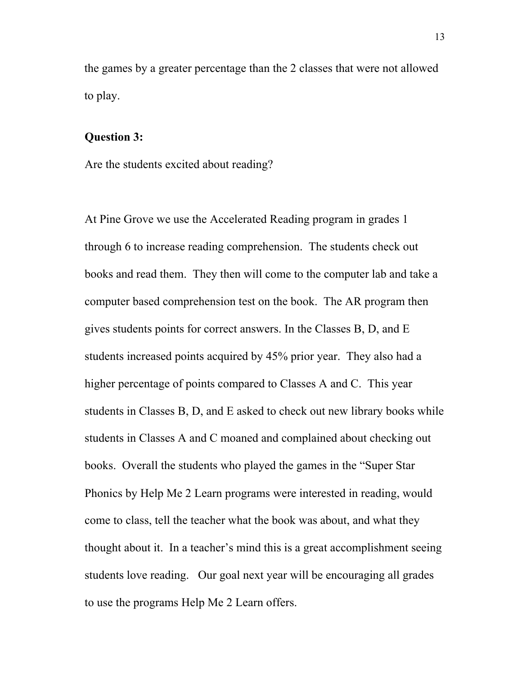the games by a greater percentage than the 2 classes that were not allowed to play.

#### **Question 3:**

Are the students excited about reading?

At Pine Grove we use the Accelerated Reading program in grades 1 through 6 to increase reading comprehension. The students check out books and read them. They then will come to the computer lab and take a computer based comprehension test on the book. The AR program then gives students points for correct answers. In the Classes B, D, and E students increased points acquired by 45% prior year. They also had a higher percentage of points compared to Classes A and C. This year students in Classes B, D, and E asked to check out new library books while students in Classes A and C moaned and complained about checking out books. Overall the students who played the games in the "Super Star Phonics by Help Me 2 Learn programs were interested in reading, would come to class, tell the teacher what the book was about, and what they thought about it. In a teacher's mind this is a great accomplishment seeing students love reading. Our goal next year will be encouraging all grades to use the programs Help Me 2 Learn offers.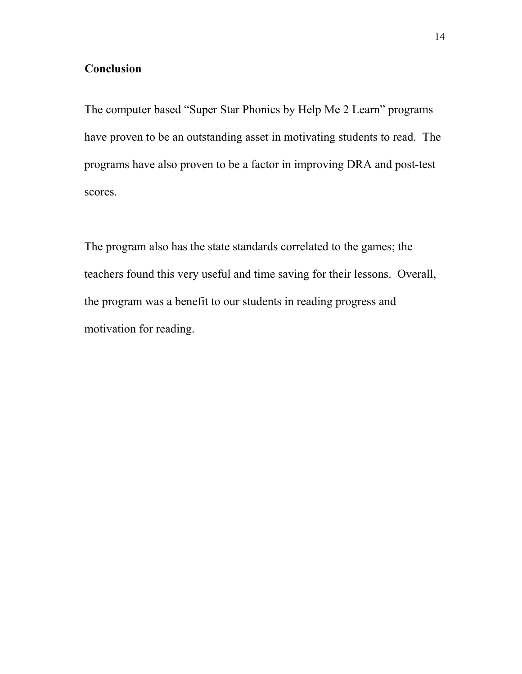## **Conclusion**

The computer based "Super Star Phonics by Help Me 2 Learn" programs have proven to be an outstanding asset in motivating students to read. The programs have also proven to be a factor in improving DRA and post-test scores.

The program also has the state standards correlated to the games; the teachers found this very useful and time saving for their lessons. Overall, the program was a benefit to our students in reading progress and motivation for reading.